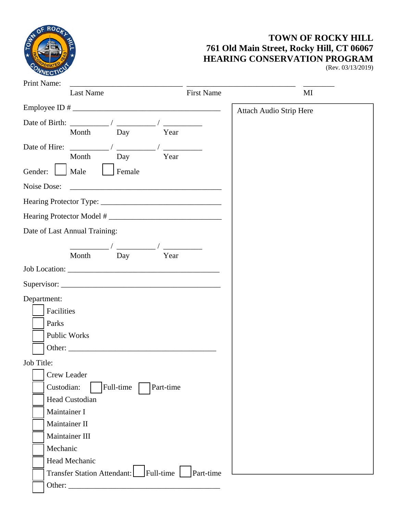

## **TOWN OF ROCKY HILL 761 Old Main Street, Rocky Hill, CT 06067 HEARING CONSERVATION PROGRAM**

(Rev. 03/13/2019)

| Print Name:   |                                                   | the control of the control of the control of the control of the control of the control of |                                                              |                   |                                |    |
|---------------|---------------------------------------------------|-------------------------------------------------------------------------------------------|--------------------------------------------------------------|-------------------|--------------------------------|----|
|               | Last Name                                         |                                                                                           |                                                              | <b>First Name</b> |                                | MI |
|               |                                                   |                                                                                           |                                                              |                   | <b>Attach Audio Strip Here</b> |    |
|               | Date of Birth: $\frac{1}{2}$ /                    |                                                                                           |                                                              |                   |                                |    |
|               | Month                                             | Day                                                                                       | Year                                                         |                   |                                |    |
| Date of Hire: |                                                   |                                                                                           |                                                              |                   |                                |    |
|               | Month                                             | Day                                                                                       | Year                                                         |                   |                                |    |
| Gender:       | Male                                              | Female                                                                                    |                                                              |                   |                                |    |
| Noise Dose:   |                                                   |                                                                                           | <u> 1989 - Jan Alexander Stein, fransk politik (d. 1982)</u> |                   |                                |    |
|               |                                                   |                                                                                           |                                                              |                   |                                |    |
|               | Hearing Protector Model #                         |                                                                                           |                                                              |                   |                                |    |
|               | Date of Last Annual Training:                     |                                                                                           |                                                              |                   |                                |    |
|               |                                                   |                                                                                           |                                                              |                   |                                |    |
|               | Month                                             | Day                                                                                       | Year                                                         |                   |                                |    |
|               |                                                   |                                                                                           |                                                              |                   |                                |    |
|               |                                                   |                                                                                           |                                                              |                   |                                |    |
| Department:   |                                                   |                                                                                           |                                                              |                   |                                |    |
| Facilities    |                                                   |                                                                                           |                                                              |                   |                                |    |
| Parks         |                                                   |                                                                                           |                                                              |                   |                                |    |
|               | Public Works                                      |                                                                                           |                                                              |                   |                                |    |
|               |                                                   |                                                                                           |                                                              |                   |                                |    |
| Job Title:    |                                                   |                                                                                           |                                                              |                   |                                |    |
|               | Crew Leader                                       |                                                                                           |                                                              |                   |                                |    |
| Custodian:    |                                                   | Full-time                                                                                 |                                                              |                   |                                |    |
|               | Head Custodian                                    |                                                                                           |                                                              |                   |                                |    |
| Maintainer I  |                                                   |                                                                                           |                                                              |                   |                                |    |
|               | Maintainer II                                     |                                                                                           |                                                              |                   |                                |    |
|               | Maintainer III                                    |                                                                                           |                                                              |                   |                                |    |
| Mechanic      |                                                   |                                                                                           |                                                              |                   |                                |    |
|               | Head Mechanic                                     |                                                                                           |                                                              |                   |                                |    |
|               |                                                   |                                                                                           |                                                              |                   |                                |    |
| Other:        | Transfer Station Attendant: Full-time   Part-time |                                                                                           |                                                              |                   |                                |    |